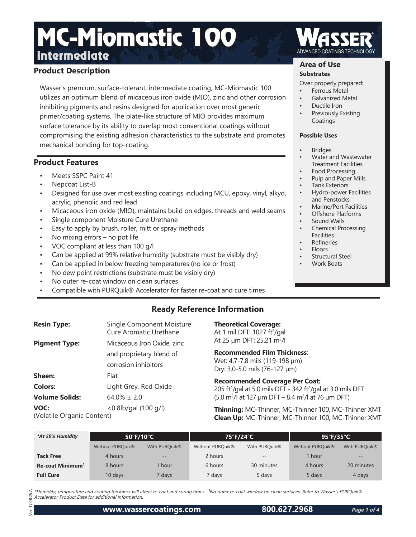## **Product Description**

Wasser's premium, surface-tolerant, intermediate coating, MC-Miomastic 100 utilizes an optimum blend of micaceous iron oxide (MIO), zinc and other corrosion inhibiting pigments and resins designed for application over most generic primer/coating systems. The plate-like structure of MIO provides maximum surface tolerance by its ability to overlap most conventional coatings without compromising the existing adhesion characteristics to the substrate and promotes mechanical bonding for top-coating.

## **Product Features**

- Meets SSPC Paint 41
- Nepcoat List-B
- Designed for use over most existing coatings including MCU, epoxy, vinyl, alkyd, acrylic, phenolic and red lead
- Micaceous iron oxide (MIO), maintains build on edges, threads and weld seams
- Single component Moisture Cure Urethane
- Easy to apply by brush, roller, mitt or spray methods
- No mixing errors no pot life
- VOC compliant at less than 100 g/l
- Can be applied at 99% relative humidity (substrate must be visibly dry)
- Can be applied in below freezing temperatures (no ice or frost)
- No dew point restrictions (substrate must be visibly dry)
- No outer re-coat window on clean surfaces
- Compatible with PURQuik® Accelerator for faster re-coat and cure times

## **Ready Reference Information**

| <b>Resin Type:</b>                 | Single Component Moisture<br>Cure Aromatic Urethane |
|------------------------------------|-----------------------------------------------------|
| <b>Pigment Type:</b>               | Micaceous Iron Oxide, zinc                          |
|                                    | and proprietary blend of                            |
|                                    | corrosion inhibitors                                |
| Sheen:                             | Flat                                                |
| <b>Colors:</b>                     | Light Grey, Red Oxide                               |
| <b>Volume Solids:</b>              | 64.0% + 2.0                                         |
| VOC:<br>(Volatile Organic Content) | $< 0.8$ lb/gal (100 g/l)                            |

### **Theoretical Coverage:**

At 1 mil DFT: 1027 ft²/gal At 25 µm DFT: 25.21 m<sup>2</sup>/l

**Recommended Film Thickness**: Wet: 4.7-7.8 mils (119-198 µm) Dry: 3.0-5.0 mils (76-127 µm)

**Recommended Coverage Per Coat:** 205 ft²/gal at 5.0 mils DFT - 342 ft²/gal at 3.0 mils DFT  $(5.0 \text{ m}^2)$ l at 127 µm DFT – 8.4 m<sup>2</sup>/l at 76 µm DFT)

**Thinning:** MC-Thinner, MC-Thinner 100, MC-Thinner XMT **Clean Up:** MC-Thinner, MC-Thinner 100, MC-Thinner XMT

| *At 50% Humidity             | 50°F/10°C                    |                   | 75°F/24°C        |                   | $95^{\circ}$ F/35 $^{\circ}$ C |                           |
|------------------------------|------------------------------|-------------------|------------------|-------------------|--------------------------------|---------------------------|
|                              | Without PURQuik <sup>®</sup> | With PURQuik®     | Without PURQuik® | With PURQuik®     | Without PURQuik®               | With PURQuik <sup>®</sup> |
| <b>Tack Free</b>             | 4 hours                      | $\qquad \qquad -$ | 2 hours          | $\qquad \qquad -$ | 1 hour                         | $\qquad \qquad -$         |
| Re-coat Minimum <sup>1</sup> | 8 hours                      | hour              | 6 hours          | 30 minutes        | 4 hours                        | 20 minutes                |
| <b>Full Cure</b>             | 10 days                      | ' days            | 7 days           | 5 days            | 5 days                         | 4 days                    |

\*Humidity, temperature and coating thickness will affect re-coat and curing times. <sup>1</sup>No outer re-coat window on clean surfaces. Refer to Wasser's PURQuik® Accelerator Product Data for additional information.

### **Area of Use**

### **Substrates**

Over properly prepared:

- Ferrous Metal
- Galvanized Metal
- Ductile Iron
- Previously Existing **Coatings**

#### **Possible Uses**

- Bridges
- Water and Wastewater Treatment Facilities
- Food Processing
- Pulp and Paper Mills
- Tank Exteriors • Hydro-power Facilities and Penstocks
- Marine/Port Facilities
- Offshore Platforms
- Sound Walls
- Chemical Processing **Facilities**
- **Refineries**
- Floors
- Structural Steel
- Work Boats

 $25A$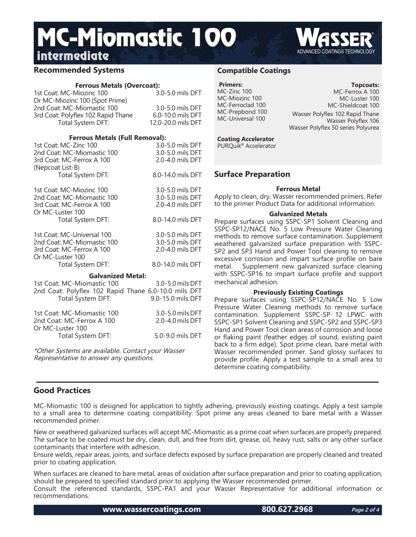## **Recommended Systems**

### **Ferrous Metals (Overcoat):**

| 1st Coat: MC-Miozinc 100           | 3.0-5.0 mils DFT   |
|------------------------------------|--------------------|
| Or MC-Miozinc 100 (Spot Prime)     |                    |
| 2nd Coat: MC-Miomastic 100         | 3.0-5.0 mils DFT   |
| 3rd Coat: Polyflex 102 Rapid Thane | 6.0-10.0 mils DFT  |
| Total System DFT:                  | 12.0-20.0 mils DFT |
|                                    |                    |

### **Ferrous Metals (Full Removal):**

| 1st Coat: MC-Zinc 100<br>2nd Coat: MC-Miomastic 100<br>3rd Coat: MC-Ferrox A 100<br>(Nepcoat List-B)                                | 3.0-5.0 mils DFT<br>3.0-5.0 mils DFT<br>2.0-4.0 mils DFT |
|-------------------------------------------------------------------------------------------------------------------------------------|----------------------------------------------------------|
| Total System DFT:                                                                                                                   | 8.0-14.0 mils DFT                                        |
| 1st Coat: MC-Miozinc 100<br>2nd Coat: MC-Miomastic 100<br>3rd Coat: MC-Ferrox A 100<br>Or MC-Luster 100                             | 3.0-5.0 mils DFT<br>3.0-5.0 mils DFT<br>2.0-4.0 mils DFT |
| Total System DFT:                                                                                                                   | 8.0-14.0 mils DFT                                        |
| 1st Coat: MC-Universal 100<br>2nd Coat: MC-Miomastic 100<br>3rd Coat: MC-Ferrox A 100<br>Or MC-Luster 100                           | 3.0-5.0 mils DFT<br>3.0-5.0 mils DFT<br>2.0-4.0 mils DFT |
| Total System DFT:                                                                                                                   | 8.0-14.0 mils DFT                                        |
| <b>Galvanized Metal:</b><br>1st Coat: MC-Miomastic 100<br>2nd Coat: Polyflex 102 Rapid Thane 6.0-10.0 mils DFT<br>Total System DFT: | 3.0-5.0 mils DFT<br>9.0-15.0 mils DFT                    |
| 1st Coat: MC-Miomastic 100<br>2nd Coat: MC-Ferrox A 100<br>Or MC-Luster 100                                                         | 3.0-5.0 mils DFT<br>2.0-4.0 mils DFT                     |
| Total System DFT:                                                                                                                   | 5.0-9.0 mils DFT                                         |

\*Other Systems are available. Contact your Wasser Representative to answer any questions.

### **Compatible Coatings**

#### **Primers:** MC-Zinc 100 MC-Miozinc 100 MC-Ferroclad 100 MC-Prepbond 100 MC-Universal 100

**Topcoats:** MC-Ferrox A 100 MC-Luster 100 MC-Shieldcoat 100

Wasser Polyflex 102 Rapid Thane Wasser Polyflex 106 Wasser Polyflex 50 series Polyurea

## **Coating Accelerator**

PURQuik® Accelerator

## **Surface Preparation**

### **Ferrous Metal**

Apply to clean, dry, Wasser recommended primers. Refer to the primer Product Data for additional information.

### **Galvanized Metals**

Prepare surfaces using SSPC-SP1 Solvent Cleaning and SSPC-SP12/NACE No. 5 Low Pressure Water Cleaning methods to remove surface contamination. Supplement weathered galvanized surface preparation with SSPC-SP2 and SP3 Hand and Power Tool cleaning to remove excessive corrosion and impart surface profile on bare metal. Supplement new galvanized surface cleaning with SSPC-SP16 to impart surface profile and support mechanical adhesion.

### **Previously Existing Coatings**

Prepare surfaces using SSPC-SP12/NACE No. 5 Low Pressure Water Cleaning methods to remove surface contamination. Supplement SSPC-SP 12 LPWC with SSPC-SP1 Solvent Cleaning and SSPC-SP2 and SSPC-SP3 Hand and Power Tool clean areas of corrosion and loose or flaking paint (feather edges of sound, existing paint back to a firm edge). Spot prime clean, bare metal with Wasser recommended primer. Sand glossy surfaces to provide profile. Apply a test sample to a small area to determine coating compatibility.

## **Good Practices**

MC-Miomastic 100 is designed for application to tightly adhering, previously existing coatings. Apply a test sample to a small area to determine coating compatibility. Spot prime any areas cleaned to bare metal with a Wasser recommended primer.

New or weathered galvanized surfaces will accept MC-Miomastic as a prime coat when surfaces are properly prepared. The surface to be coated must be dry, clean, dull, and free from dirt, grease, oil, heavy rust, salts or any other surface contaminants that interfere with adhesion.

Ensure welds, repair areas, joints, and surface defects exposed by surface preparation are properly cleaned and treated prior to coating application.

When surfaces are cleaned to bare metal, areas of oxidation after surface preparation and prior to coating application, should be prepared to specified standard prior to applying the Wasser recommended primer. Consult the referenced standards, SSPC-PA1 and your Wasser Representative for additional information or recommendations.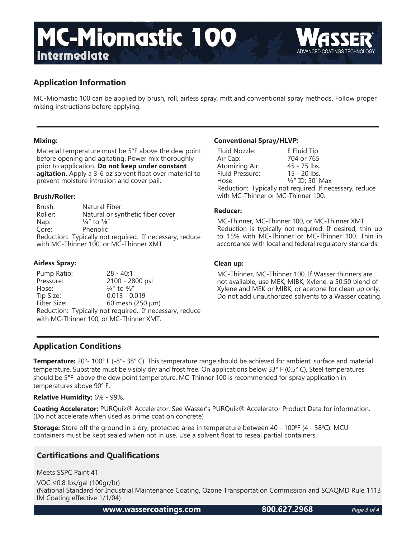

MC-Miomastic 100 can be applied by brush, roll, airless spray, mitt and conventional spray methods. Follow proper mixing instructions before applying.

### **Mixing:**

Material temperature must be 5°F above the dew point before opening and agitating. Power mix thoroughly prior to application. **Do not keep under constant agitation.** Apply a 3-6 oz solvent float over material to prevent moisture intrusion and cover pail.

### **Brush/Roller:**

Brush: Natural Fiber Roller: Natural or synthetic fiber cover Nap:  $\frac{1}{4}$ " to  $\frac{3}{8}$ " Core: Phenolic Reduction: Typically not required. If necessary, reduce with MC-Thinner 100, or MC-Thinner XMT.

### **Airless Spray:**

Pump Ratio: 28 - 40:1 Pressure: 2100 - 2800 psi Hose:  $\frac{1}{4}$ " to  $\frac{3}{8}$ " Tip Size: 0.013 - 0.019<br>Filter Size: 60 mesh (250  $60$  mesh (250  $\mu$ m) Reduction: Typically not required. If necessary, reduce with MC-Thinner 100, or MC-Thinner XMT.

### **Conventional Spray/HLVP:**

| Fluid Nozzle:                                           | E Fluid Tip      |  |
|---------------------------------------------------------|------------------|--|
| Air Cap:                                                | 704 or 765       |  |
| Atomizing Air:                                          | 45 - 75 lbs.     |  |
| Fluid Pressure:                                         | $15 - 20$ lbs.   |  |
| Hose:                                                   | 1/2" ID; 50' Max |  |
| Reduction: Typically not required. If necessary, reduce |                  |  |
| with MC-Thinner or MC-Thinner 100.                      |                  |  |

#### **Reducer:**

MC-Thinner, MC-Thinner 100, or MC-Thinner XMT. Reduction is typically not required. If desired, thin up to 15% with MC-Thinner or MC-Thinner 100. Thin in accordance with local and federal regulatory standards.

### **Clean up:**

MC-Thinner, MC-Thinner 100. If Wasser thinners are not available, use MEK, MIBK, Xylene, a 50:50 blend of Xylene and MEK or MIBK, or acetone for clean up only. Do not add unauthorized solvents to a Wasser coating.

## **Application Conditions**

**Temperature:** 20°- 100° F (-8°- 38° C). This temperature range should be achieved for ambient, surface and material temperature. Substrate must be visibly dry and frost free. On applications below 33° F (0.5° C), Steel temperatures should be 5°F above the dew point temperature. MC-Thinner 100 is recommended for spray application in temperatures above 90° F.

### **Relative Humidity:** 6% - 99%.

**Coating Accelerator:** PURQuik® Accelerator. See Wasser's PURQuik® Accelerator Product Data for information. (Do not accelerate when used as prime coat on concrete)

**Storage:** Store off the ground in a dry, protected area in temperature between 40 - 100<sup>o</sup>F (4 - 38<sup>o</sup>C). MCU containers must be kept sealed when not in use. Use a solvent float to reseal partial containers.

## **Certifications and Qualifications**

Meets SSPC Paint 41

VOC ≤0.8 lbs/gal (100gr/ltr) (National Standard for Industrial Maintenance Coating, Ozone Transportation Commission and SCAQMD Rule 1113 IM Coating effective 1/1/04)